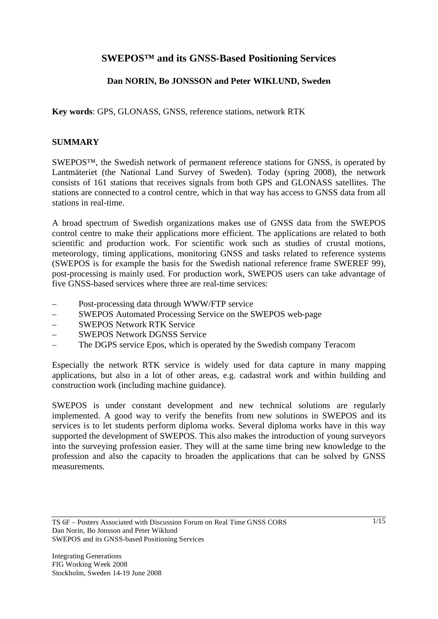# **SWEPOS™ and its GNSS-Based Positioning Services**

## **Dan NORIN, Bo JONSSON and Peter WIKLUND, Sweden**

**Key words**: GPS, GLONASS, GNSS, reference stations, network RTK

## **SUMMARY**

SWEPOS™, the Swedish network of permanent reference stations for GNSS, is operated by Lantmäteriet (the National Land Survey of Sweden). Today (spring 2008), the network consists of 161 stations that receives signals from both GPS and GLONASS satellites. The stations are connected to a control centre, which in that way has access to GNSS data from all stations in real-time.

A broad spectrum of Swedish organizations makes use of GNSS data from the SWEPOS control centre to make their applications more efficient. The applications are related to both scientific and production work. For scientific work such as studies of crustal motions, meteorology, timing applications, monitoring GNSS and tasks related to reference systems (SWEPOS is for example the basis for the Swedish national reference frame SWEREF 99), post-processing is mainly used. For production work, SWEPOS users can take advantage of five GNSS-based services where three are real-time services:

- Post-processing data through WWW/FTP service
- SWEPOS Automated Processing Service on the SWEPOS web-page
- SWEPOS Network RTK Service
- SWEPOS Network DGNSS Service
- The DGPS service Epos, which is operated by the Swedish company Teracom

Especially the network RTK service is widely used for data capture in many mapping applications, but also in a lot of other areas, e.g. cadastral work and within building and construction work (including machine guidance).

SWEPOS is under constant development and new technical solutions are regularly implemented. A good way to verify the benefits from new solutions in SWEPOS and its services is to let students perform diploma works. Several diploma works have in this way supported the development of SWEPOS. This also makes the introduction of young surveyors into the surveying profession easier. They will at the same time bring new knowledge to the profession and also the capacity to broaden the applications that can be solved by GNSS measurements.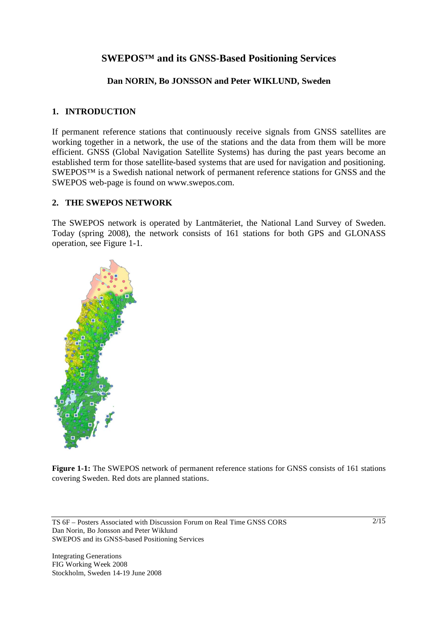# **SWEPOS™ and its GNSS-Based Positioning Services**

## **Dan NORIN, Bo JONSSON and Peter WIKLUND, Sweden**

## **1. INTRODUCTION**

If permanent reference stations that continuously receive signals from GNSS satellites are working together in a network, the use of the stations and the data from them will be more efficient. GNSS (Global Navigation Satellite Systems) has during the past years become an established term for those satellite-based systems that are used for navigation and positioning. SWEPOS™ is a Swedish national network of permanent reference stations for GNSS and the SWEPOS web-page is found on www.swepos.com.

### **2. THE SWEPOS NETWORK**

The SWEPOS network is operated by Lantmäteriet, the National Land Survey of Sweden. Today (spring 2008), the network consists of 161 stations for both GPS and GLONASS operation, see Figure 1-1.



**Figure 1-1:** The SWEPOS network of permanent reference stations for GNSS consists of 161 stations covering Sweden. Red dots are planned stations.

TS 6F – Posters Associated with Discussion Forum on Real Time GNSS CORS Dan Norin, Bo Jonsson and Peter Wiklund SWEPOS and its GNSS-based Positioning Services

Integrating Generations FIG Working Week 2008 Stockholm, Sweden 14-19 June 2008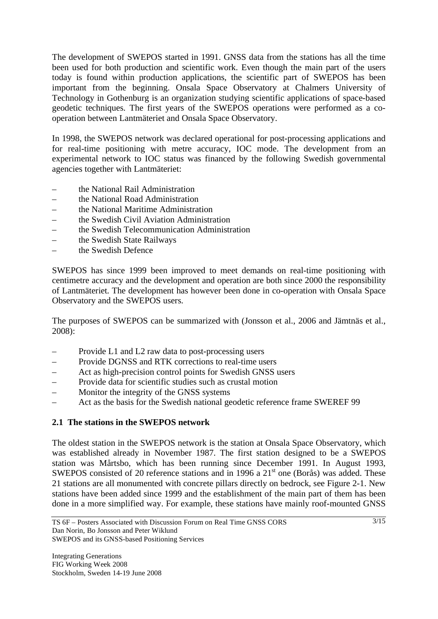The development of SWEPOS started in 1991. GNSS data from the stations has all the time been used for both production and scientific work. Even though the main part of the users today is found within production applications, the scientific part of SWEPOS has been important from the beginning. Onsala Space Observatory at Chalmers University of Technology in Gothenburg is an organization studying scientific applications of space-based geodetic techniques. The first years of the SWEPOS operations were performed as a cooperation between Lantmäteriet and Onsala Space Observatory.

In 1998, the SWEPOS network was declared operational for post-processing applications and for real-time positioning with metre accuracy, IOC mode. The development from an experimental network to IOC status was financed by the following Swedish governmental agencies together with Lantmäteriet:

- the National Rail Administration
- the National Road Administration
- the National Maritime Administration
- the Swedish Civil Aviation Administration
- the Swedish Telecommunication Administration
- the Swedish State Railways
- the Swedish Defence

SWEPOS has since 1999 been improved to meet demands on real-time positioning with centimetre accuracy and the development and operation are both since 2000 the responsibility of Lantmäteriet. The development has however been done in co-operation with Onsala Space Observatory and the SWEPOS users.

The purposes of SWEPOS can be summarized with (Jonsson et al., 2006 and Jämtnäs et al., 2008):

- Provide L1 and L2 raw data to post-processing users
- Provide DGNSS and RTK corrections to real-time users
- Act as high-precision control points for Swedish GNSS users
- Provide data for scientific studies such as crustal motion
- Monitor the integrity of the GNSS systems
- Act as the basis for the Swedish national geodetic reference frame SWEREF 99

### **2.1 The stations in the SWEPOS network**

The oldest station in the SWEPOS network is the station at Onsala Space Observatory, which was established already in November 1987. The first station designed to be a SWEPOS station was Mårtsbo, which has been running since December 1991. In August 1993, SWEPOS consisted of 20 reference stations and in 1996 a 21<sup>st</sup> one (Borås) was added. These 21 stations are all monumented with concrete pillars directly on bedrock, see Figure 2-1. New stations have been added since 1999 and the establishment of the main part of them has been done in a more simplified way. For example, these stations have mainly roof-mounted GNSS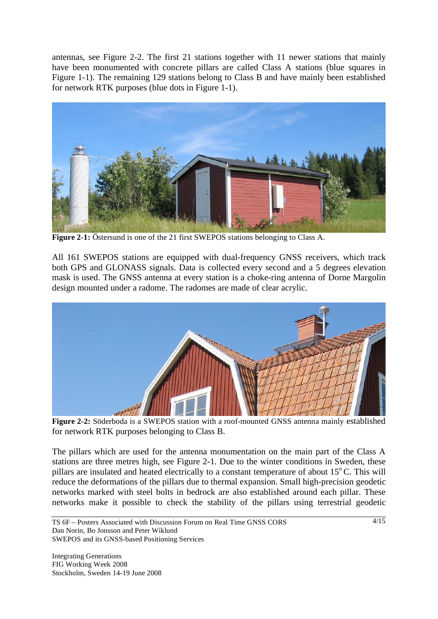antennas, see Figure 2-2. The first 21 stations together with 11 newer stations that mainly have been monumented with concrete pillars are called Class A stations (blue squares in Figure 1-1). The remaining 129 stations belong to Class B and have mainly been established for network RTK purposes (blue dots in Figure 1-1).



**Figure 2-1:** Östersund is one of the 21 first SWEPOS stations belonging to Class A.

All 161 SWEPOS stations are equipped with dual-frequency GNSS receivers, which track both GPS and GLONASS signals. Data is collected every second and a 5 degrees elevation mask is used. The GNSS antenna at every station is a choke-ring antenna of Dorne Margolin design mounted under a radome. The radomes are made of clear acrylic.



**Figure 2-2:** Söderboda is a SWEPOS station with a roof-mounted GNSS antenna mainly established for network RTK purposes belonging to Class B.

The pillars which are used for the antenna monumentation on the main part of the Class A stations are three metres high, see Figure 2-1. Due to the winter conditions in Sweden, these pillars are insulated and heated electrically to a constant temperature of about  $15^{\circ}$ C. This will reduce the deformations of the pillars due to thermal expansion. Small high-precision geodetic networks marked with steel bolts in bedrock are also established around each pillar. These networks make it possible to check the stability of the pillars using terrestrial geodetic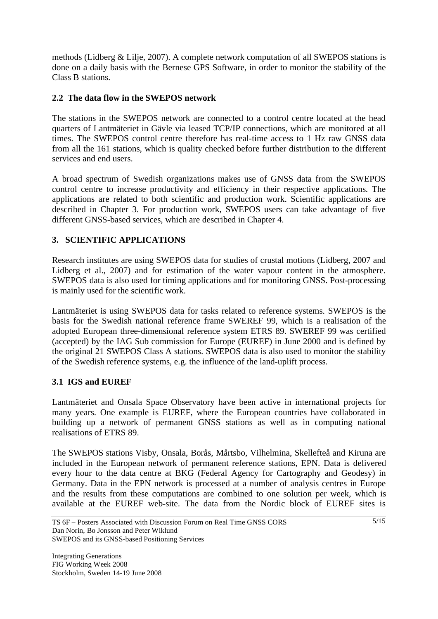methods (Lidberg & Lilje, 2007). A complete network computation of all SWEPOS stations is done on a daily basis with the Bernese GPS Software, in order to monitor the stability of the Class B stations.

### **2.2 The data flow in the SWEPOS network**

The stations in the SWEPOS network are connected to a control centre located at the head quarters of Lantmäteriet in Gävle via leased TCP/IP connections, which are monitored at all times. The SWEPOS control centre therefore has real-time access to 1 Hz raw GNSS data from all the 161 stations, which is quality checked before further distribution to the different services and end users.

A broad spectrum of Swedish organizations makes use of GNSS data from the SWEPOS control centre to increase productivity and efficiency in their respective applications. The applications are related to both scientific and production work. Scientific applications are described in Chapter 3. For production work, SWEPOS users can take advantage of five different GNSS-based services, which are described in Chapter 4.

## **3. SCIENTIFIC APPLICATIONS**

Research institutes are using SWEPOS data for studies of crustal motions (Lidberg, 2007 and Lidberg et al., 2007) and for estimation of the water vapour content in the atmosphere. SWEPOS data is also used for timing applications and for monitoring GNSS. Post-processing is mainly used for the scientific work.

Lantmäteriet is using SWEPOS data for tasks related to reference systems. SWEPOS is the basis for the Swedish national reference frame SWEREF 99, which is a realisation of the adopted European three-dimensional reference system ETRS 89. SWEREF 99 was certified (accepted) by the IAG Sub commission for Europe (EUREF) in June 2000 and is defined by the original 21 SWEPOS Class A stations. SWEPOS data is also used to monitor the stability of the Swedish reference systems, e.g. the influence of the land-uplift process.

## **3.1 IGS and EUREF**

Lantmäteriet and Onsala Space Observatory have been active in international projects for many years. One example is EUREF, where the European countries have collaborated in building up a network of permanent GNSS stations as well as in computing national realisations of ETRS 89.

The SWEPOS stations Visby, Onsala, Borås, Mårtsbo, Vilhelmina, Skellefteå and Kiruna are included in the European network of permanent reference stations, EPN. Data is delivered every hour to the data centre at BKG (Federal Agency for Cartography and Geodesy) in Germany. Data in the EPN network is processed at a number of analysis centres in Europe and the results from these computations are combined to one solution per week, which is available at the EUREF web-site. The data from the Nordic block of EUREF sites is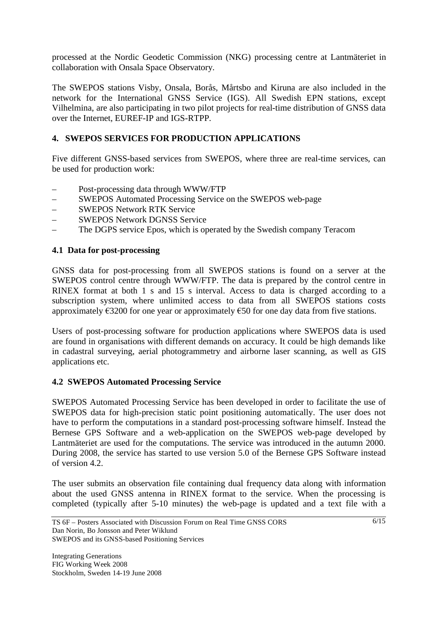processed at the Nordic Geodetic Commission (NKG) processing centre at Lantmäteriet in collaboration with Onsala Space Observatory.

The SWEPOS stations Visby, Onsala, Borås, Mårtsbo and Kiruna are also included in the network for the International GNSS Service (IGS). All Swedish EPN stations, except Vilhelmina, are also participating in two pilot projects for real-time distribution of GNSS data over the Internet, EUREF-IP and IGS-RTPP.

## **4. SWEPOS SERVICES FOR PRODUCTION APPLICATIONS**

Five different GNSS-based services from SWEPOS, where three are real-time services, can be used for production work:

- Post-processing data through WWW/FTP
- SWEPOS Automated Processing Service on the SWEPOS web-page
- SWEPOS Network RTK Service
- SWEPOS Network DGNSS Service
- The DGPS service Epos, which is operated by the Swedish company Teracom

### **4.1 Data for post-processing**

GNSS data for post-processing from all SWEPOS stations is found on a server at the SWEPOS control centre through WWW/FTP. The data is prepared by the control centre in RINEX format at both 1 s and 15 s interval. Access to data is charged according to a subscription system, where unlimited access to data from all SWEPOS stations costs approximately  $\epsilon$ 3200 for one year or approximately  $\epsilon$ 50 for one day data from five stations.

Users of post-processing software for production applications where SWEPOS data is used are found in organisations with different demands on accuracy. It could be high demands like in cadastral surveying, aerial photogrammetry and airborne laser scanning, as well as GIS applications etc.

### **4.2 SWEPOS Automated Processing Service**

SWEPOS Automated Processing Service has been developed in order to facilitate the use of SWEPOS data for high-precision static point positioning automatically. The user does not have to perform the computations in a standard post-processing software himself. Instead the Bernese GPS Software and a web-application on the SWEPOS web-page developed by Lantmäteriet are used for the computations. The service was introduced in the autumn 2000. During 2008, the service has started to use version 5.0 of the Bernese GPS Software instead of version 4.2.

The user submits an observation file containing dual frequency data along with information about the used GNSS antenna in RINEX format to the service. When the processing is completed (typically after 5-10 minutes) the web-page is updated and a text file with a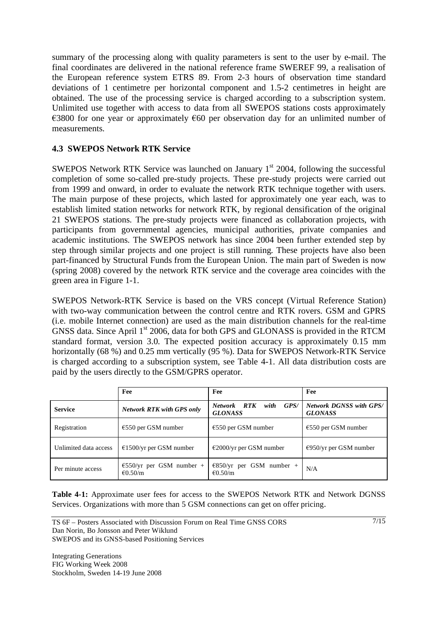summary of the processing along with quality parameters is sent to the user by e-mail. The final coordinates are delivered in the national reference frame SWEREF 99, a realisation of the European reference system ETRS 89. From 2-3 hours of observation time standard deviations of 1 centimetre per horizontal component and 1.5-2 centimetres in height are obtained. The use of the processing service is charged according to a subscription system. Unlimited use together with access to data from all SWEPOS stations costs approximately  $\epsilon$ 3800 for one year or approximately  $\epsilon$ 60 per observation day for an unlimited number of measurements.

## **4.3 SWEPOS Network RTK Service**

SWEPOS Network RTK Service was launched on January  $1<sup>st</sup>$  2004, following the successful completion of some so-called pre-study projects. These pre-study projects were carried out from 1999 and onward, in order to evaluate the network RTK technique together with users. The main purpose of these projects, which lasted for approximately one year each, was to establish limited station networks for network RTK, by regional densification of the original 21 SWEPOS stations. The pre-study projects were financed as collaboration projects, with participants from governmental agencies, municipal authorities, private companies and academic institutions. The SWEPOS network has since 2004 been further extended step by step through similar projects and one project is still running. These projects have also been part-financed by Structural Funds from the European Union. The main part of Sweden is now (spring 2008) covered by the network RTK service and the coverage area coincides with the green area in Figure 1-1.

SWEPOS Network-RTK Service is based on the VRS concept (Virtual Reference Station) with two-way communication between the control centre and RTK rovers. GSM and GPRS (i.e. mobile Internet connection) are used as the main distribution channels for the real-time GNSS data. Since April 1<sup>st</sup> 2006, data for both GPS and GLONASS is provided in the RTCM standard format, version 3.0. The expected position accuracy is approximately 0.15 mm horizontally (68 %) and 0.25 mm vertically (95 %). Data for SWEPOS Network-RTK Service is charged according to a subscription system, see Table 4-1. All data distribution costs are paid by the users directly to the GSM/GPRS operator.

|                       | Fee                                                     | Fee                                              | Fee                                              |
|-----------------------|---------------------------------------------------------|--------------------------------------------------|--------------------------------------------------|
| <b>Service</b>        | <b>Network RTK with GPS only</b>                        | Network RTK<br>GPS/<br>with<br><b>GLONASS</b>    | <b>Network DGNSS with GPS/</b><br><b>GLONASS</b> |
| Registration          | $€550$ per GSM number                                   | $\epsilon$ 550 per GSM number                    | $\epsilon$ 550 per GSM number                    |
| Unlimited data access | $£1500/yr$ per GSM number                               | $\epsilon$ 2000/yr per GSM number                | $\epsilon$ 950/yr per GSM number                 |
| Per minute access     | $\epsilon$ 550/yr per GSM number +<br>$\epsilon$ 0.50/m | $E$ 850/yr per GSM number +<br>$\epsilon$ 0.50/m | N/A                                              |

**Table 4-1:** Approximate user fees for access to the SWEPOS Network RTK and Network DGNSS Services. Organizations with more than 5 GSM connections can get on offer pricing.

7/15

TS 6F – Posters Associated with Discussion Forum on Real Time GNSS CORS Dan Norin, Bo Jonsson and Peter Wiklund SWEPOS and its GNSS-based Positioning Services

Integrating Generations FIG Working Week 2008 Stockholm, Sweden 14-19 June 2008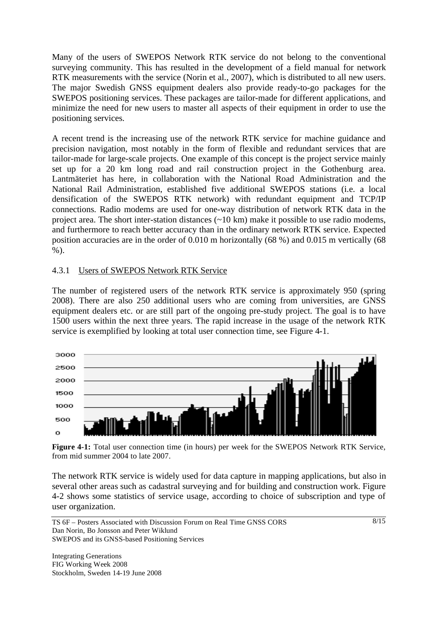Many of the users of SWEPOS Network RTK service do not belong to the conventional surveying community. This has resulted in the development of a field manual for network RTK measurements with the service (Norin et al., 2007), which is distributed to all new users. The major Swedish GNSS equipment dealers also provide ready-to-go packages for the SWEPOS positioning services. These packages are tailor-made for different applications, and minimize the need for new users to master all aspects of their equipment in order to use the positioning services.

A recent trend is the increasing use of the network RTK service for machine guidance and precision navigation, most notably in the form of flexible and redundant services that are tailor-made for large-scale projects. One example of this concept is the project service mainly set up for a 20 km long road and rail construction project in the Gothenburg area. Lantmäteriet has here, in collaboration with the National Road Administration and the National Rail Administration, established five additional SWEPOS stations (i.e. a local densification of the SWEPOS RTK network) with redundant equipment and TCP/IP connections. Radio modems are used for one-way distribution of network RTK data in the project area. The short inter-station distances (~10 km) make it possible to use radio modems, and furthermore to reach better accuracy than in the ordinary network RTK service. Expected position accuracies are in the order of 0.010 m horizontally (68 %) and 0.015 m vertically (68 %).

### 4.3.1 Users of SWEPOS Network RTK Service

The number of registered users of the network RTK service is approximately 950 (spring 2008). There are also 250 additional users who are coming from universities, are GNSS equipment dealers etc. or are still part of the ongoing pre-study project. The goal is to have 1500 users within the next three years. The rapid increase in the usage of the network RTK service is exemplified by looking at total user connection time, see Figure 4-1.



**Figure 4-1:** Total user connection time (in hours) per week for the SWEPOS Network RTK Service, from mid summer 2004 to late 2007.

The network RTK service is widely used for data capture in mapping applications, but also in several other areas such as cadastral surveying and for building and construction work. Figure 4-2 shows some statistics of service usage, according to choice of subscription and type of user organization.

Integrating Generations FIG Working Week 2008 Stockholm, Sweden 14-19 June 2008

TS 6F – Posters Associated with Discussion Forum on Real Time GNSS CORS Dan Norin, Bo Jonsson and Peter Wiklund SWEPOS and its GNSS-based Positioning Services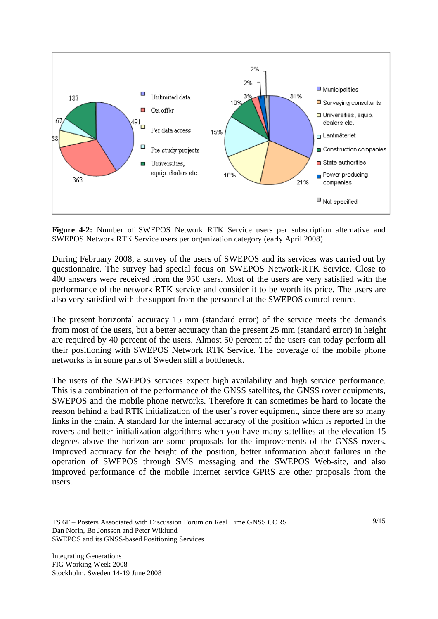

**Figure 4-2:** Number of SWEPOS Network RTK Service users per subscription alternative and SWEPOS Network RTK Service users per organization category (early April 2008).

During February 2008, a survey of the users of SWEPOS and its services was carried out by questionnaire. The survey had special focus on SWEPOS Network-RTK Service. Close to 400 answers were received from the 950 users. Most of the users are very satisfied with the performance of the network RTK service and consider it to be worth its price. The users are also very satisfied with the support from the personnel at the SWEPOS control centre.

The present horizontal accuracy 15 mm (standard error) of the service meets the demands from most of the users, but a better accuracy than the present 25 mm (standard error) in height are required by 40 percent of the users. Almost 50 percent of the users can today perform all their positioning with SWEPOS Network RTK Service. The coverage of the mobile phone networks is in some parts of Sweden still a bottleneck.

The users of the SWEPOS services expect high availability and high service performance. This is a combination of the performance of the GNSS satellites, the GNSS rover equipments, SWEPOS and the mobile phone networks. Therefore it can sometimes be hard to locate the reason behind a bad RTK initialization of the user's rover equipment, since there are so many links in the chain. A standard for the internal accuracy of the position which is reported in the rovers and better initialization algorithms when you have many satellites at the elevation 15 degrees above the horizon are some proposals for the improvements of the GNSS rovers. Improved accuracy for the height of the position, better information about failures in the operation of SWEPOS through SMS messaging and the SWEPOS Web-site, and also improved performance of the mobile Internet service GPRS are other proposals from the users.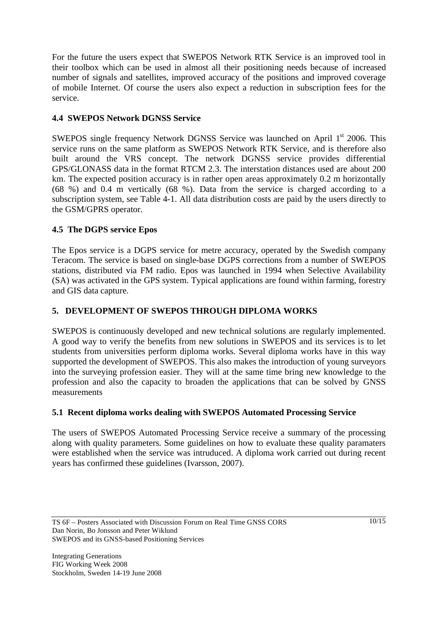For the future the users expect that SWEPOS Network RTK Service is an improved tool in their toolbox which can be used in almost all their positioning needs because of increased number of signals and satellites, improved accuracy of the positions and improved coverage of mobile Internet. Of course the users also expect a reduction in subscription fees for the service.

## **4.4 SWEPOS Network DGNSS Service**

SWEPOS single frequency Network DGNSS Service was launched on April 1<sup>st</sup> 2006. This service runs on the same platform as SWEPOS Network RTK Service, and is therefore also built around the VRS concept. The network DGNSS service provides differential GPS/GLONASS data in the format RTCM 2.3. The interstation distances used are about 200 km. The expected position accuracy is in rather open areas approximately 0.2 m horizontally (68 %) and 0.4 m vertically (68 %). Data from the service is charged according to a subscription system, see Table 4-1. All data distribution costs are paid by the users directly to the GSM/GPRS operator.

## **4.5 The DGPS service Epos**

The Epos service is a DGPS service for metre accuracy, operated by the Swedish company Teracom. The service is based on single-base DGPS corrections from a number of SWEPOS stations, distributed via FM radio. Epos was launched in 1994 when Selective Availability (SA) was activated in the GPS system. Typical applications are found within farming, forestry and GIS data capture.

## **5. DEVELOPMENT OF SWEPOS THROUGH DIPLOMA WORKS**

SWEPOS is continuously developed and new technical solutions are regularly implemented. A good way to verify the benefits from new solutions in SWEPOS and its services is to let students from universities perform diploma works. Several diploma works have in this way supported the development of SWEPOS. This also makes the introduction of young surveyors into the surveying profession easier. They will at the same time bring new knowledge to the profession and also the capacity to broaden the applications that can be solved by GNSS measurements

## **5.1 Recent diploma works dealing with SWEPOS Automated Processing Service**

The users of SWEPOS Automated Processing Service receive a summary of the processing along with quality parameters. Some guidelines on how to evaluate these quality paramaters were established when the service was intruduced. A diploma work carried out during recent years has confirmed these guidelines (Ivarsson, 2007).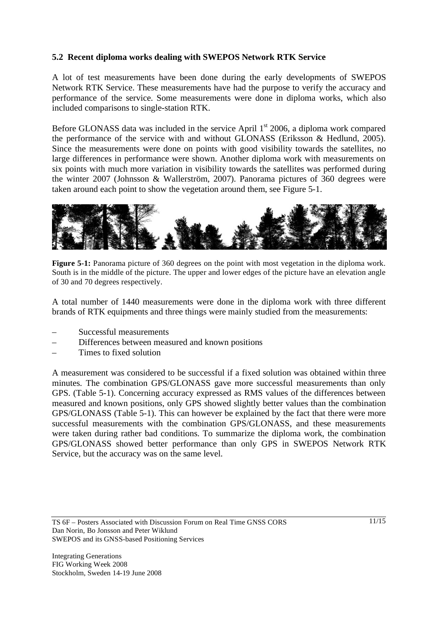## **5.2 Recent diploma works dealing with SWEPOS Network RTK Service**

A lot of test measurements have been done during the early developments of SWEPOS Network RTK Service. These measurements have had the purpose to verify the accuracy and performance of the service. Some measurements were done in diploma works, which also included comparisons to single-station RTK.

Before GLONASS data was included in the service April  $1<sup>st</sup>$  2006, a diploma work compared the performance of the service with and without GLONASS (Eriksson & Hedlund, 2005). Since the measurements were done on points with good visibility towards the satellites, no large differences in performance were shown. Another diploma work with measurements on six points with much more variation in visibility towards the satellites was performed during the winter 2007 (Johnsson & Wallerström, 2007). Panorama pictures of 360 degrees were taken around each point to show the vegetation around them, see Figure 5-1.



**Figure 5-1:** Panorama picture of 360 degrees on the point with most vegetation in the diploma work. South is in the middle of the picture. The upper and lower edges of the picture have an elevation angle of 30 and 70 degrees respectively.

A total number of 1440 measurements were done in the diploma work with three different brands of RTK equipments and three things were mainly studied from the measurements:

- Successful measurements
- Differences between measured and known positions
- Times to fixed solution

A measurement was considered to be successful if a fixed solution was obtained within three minutes. The combination GPS/GLONASS gave more successful measurements than only GPS. (Table 5-1). Concerning accuracy expressed as RMS values of the differences between measured and known positions, only GPS showed slightly better values than the combination GPS/GLONASS (Table 5-1). This can however be explained by the fact that there were more successful measurements with the combination GPS/GLONASS, and these measurements were taken during rather bad conditions. To summarize the diploma work, the combination GPS/GLONASS showed better performance than only GPS in SWEPOS Network RTK Service, but the accuracy was on the same level.

TS 6F – Posters Associated with Discussion Forum on Real Time GNSS CORS Dan Norin, Bo Jonsson and Peter Wiklund SWEPOS and its GNSS-based Positioning Services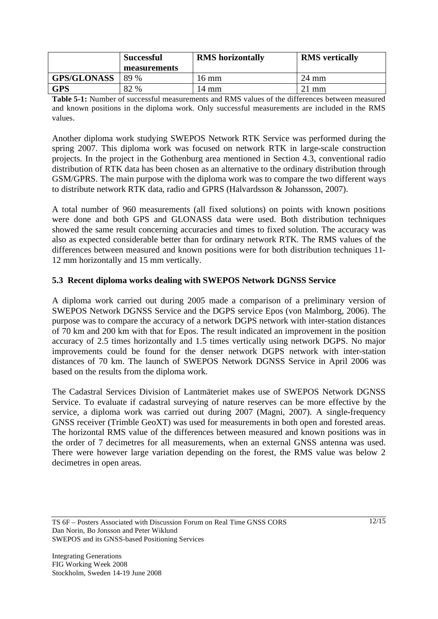|                    | <b>Successful</b> | <b>RMS</b> horizontally | <b>RMS</b> vertically |
|--------------------|-------------------|-------------------------|-----------------------|
|                    | measurements      |                         |                       |
| <b>GPS/GLONASS</b> | 89 %              | $16 \text{ mm}$         | 24 mm                 |
| <b>GPS</b>         | 82 %              | 14 mm                   | $21 \text{ mm}$       |

**Table 5-1:** Number of successful measurements and RMS values of the differences between measured and known positions in the diploma work. Only successful measurements are included in the RMS values.

Another diploma work studying SWEPOS Network RTK Service was performed during the spring 2007. This diploma work was focused on network RTK in large-scale construction projects. In the project in the Gothenburg area mentioned in Section 4.3, conventional radio distribution of RTK data has been chosen as an alternative to the ordinary distribution through GSM/GPRS. The main purpose with the diploma work was to compare the two different ways to distribute network RTK data, radio and GPRS (Halvardsson & Johansson, 2007).

A total number of 960 measurements (all fixed solutions) on points with known positions were done and both GPS and GLONASS data were used. Both distribution techniques showed the same result concerning accuracies and times to fixed solution. The accuracy was also as expected considerable better than for ordinary network RTK. The RMS values of the differences between measured and known positions were for both distribution techniques 11- 12 mm horizontally and 15 mm vertically.

### **5.3 Recent diploma works dealing with SWEPOS Network DGNSS Service**

A diploma work carried out during 2005 made a comparison of a preliminary version of SWEPOS Network DGNSS Service and the DGPS service Epos (von Malmborg, 2006). The purpose was to compare the accuracy of a network DGPS network with inter-station distances of 70 km and 200 km with that for Epos. The result indicated an improvement in the position accuracy of 2.5 times horizontally and 1.5 times vertically using network DGPS. No major improvements could be found for the denser network DGPS network with inter-station distances of 70 km. The launch of SWEPOS Network DGNSS Service in April 2006 was based on the results from the diploma work.

The Cadastral Services Division of Lantmäteriet makes use of SWEPOS Network DGNSS Service. To evaluate if cadastral surveying of nature reserves can be more effective by the service, a diploma work was carried out during 2007 (Magni, 2007). A single-frequency GNSS receiver (Trimble GeoXT) was used for measurements in both open and forested areas. The horizontal RMS value of the differences between measured and known positions was in the order of 7 decimetres for all measurements, when an external GNSS antenna was used. There were however large variation depending on the forest, the RMS value was below 2 decimetres in open areas.

TS 6F – Posters Associated with Discussion Forum on Real Time GNSS CORS Dan Norin, Bo Jonsson and Peter Wiklund SWEPOS and its GNSS-based Positioning Services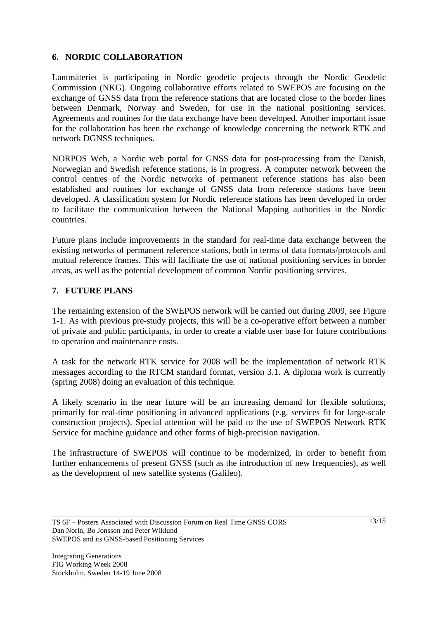## **6. NORDIC COLLABORATION**

Lantmäteriet is participating in Nordic geodetic projects through the Nordic Geodetic Commission (NKG). Ongoing collaborative efforts related to SWEPOS are focusing on the exchange of GNSS data from the reference stations that are located close to the border lines between Denmark, Norway and Sweden, for use in the national positioning services. Agreements and routines for the data exchange have been developed. Another important issue for the collaboration has been the exchange of knowledge concerning the network RTK and network DGNSS techniques.

NORPOS Web, a Nordic web portal for GNSS data for post-processing from the Danish, Norwegian and Swedish reference stations, is in progress. A computer network between the control centres of the Nordic networks of permanent reference stations has also been established and routines for exchange of GNSS data from reference stations have been developed. A classification system for Nordic reference stations has been developed in order to facilitate the communication between the National Mapping authorities in the Nordic countries.

Future plans include improvements in the standard for real-time data exchange between the existing networks of permanent reference stations, both in terms of data formats/protocols and mutual reference frames. This will facilitate the use of national positioning services in border areas, as well as the potential development of common Nordic positioning services.

## **7. FUTURE PLANS**

The remaining extension of the SWEPOS network will be carried out during 2009, see Figure 1-1. As with previous pre-study projects, this will be a co-operative effort between a number of private and public participants, in order to create a viable user base for future contributions to operation and maintenance costs.

A task for the network RTK service for 2008 will be the implementation of network RTK messages according to the RTCM standard format, version 3.1. A diploma work is currently (spring 2008) doing an evaluation of this technique.

A likely scenario in the near future will be an increasing demand for flexible solutions, primarily for real-time positioning in advanced applications (e.g. services fit for large-scale construction projects). Special attention will be paid to the use of SWEPOS Network RTK Service for machine guidance and other forms of high-precision navigation.

The infrastructure of SWEPOS will continue to be modernized, in order to benefit from further enhancements of present GNSS (such as the introduction of new frequencies), as well as the development of new satellite systems (Galileo).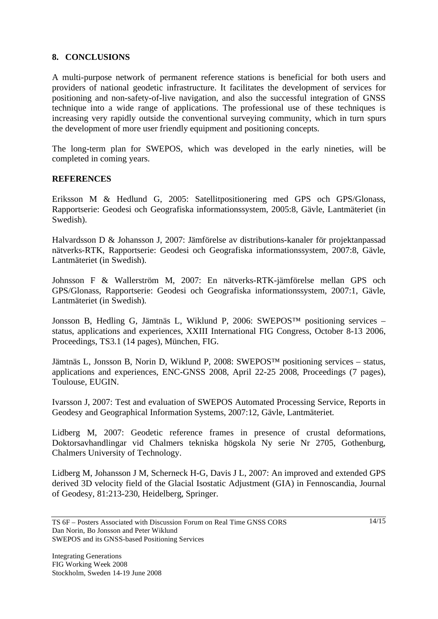#### **8. CONCLUSIONS**

A multi-purpose network of permanent reference stations is beneficial for both users and providers of national geodetic infrastructure. It facilitates the development of services for positioning and non-safety-of-live navigation, and also the successful integration of GNSS technique into a wide range of applications. The professional use of these techniques is increasing very rapidly outside the conventional surveying community, which in turn spurs the development of more user friendly equipment and positioning concepts.

The long-term plan for SWEPOS, which was developed in the early nineties, will be completed in coming years.

#### **REFERENCES**

Eriksson M & Hedlund G, 2005: Satellitpositionering med GPS och GPS/Glonass, Rapportserie: Geodesi och Geografiska informationssystem, 2005:8, Gävle, Lantmäteriet (in Swedish).

Halvardsson D & Johansson J, 2007: Jämförelse av distributions-kanaler för projektanpassad nätverks-RTK, Rapportserie: Geodesi och Geografiska informationssystem, 2007:8, Gävle, Lantmäteriet (in Swedish).

Johnsson F & Wallerström M, 2007: En nätverks-RTK-jämförelse mellan GPS och GPS/Glonass, Rapportserie: Geodesi och Geografiska informationssystem, 2007:1, Gävle, Lantmäteriet (in Swedish).

Jonsson B, Hedling G, Jämtnäs L, Wiklund P, 2006: SWEPOS™ positioning services – status, applications and experiences, XXIII International FIG Congress, October 8-13 2006, Proceedings, TS3.1 (14 pages), München, FIG.

Jämtnäs L, Jonsson B, Norin D, Wiklund P, 2008: SWEPOS™ positioning services – status, applications and experiences, ENC-GNSS 2008, April 22-25 2008, Proceedings (7 pages), Toulouse, EUGIN.

Ivarsson J, 2007: Test and evaluation of SWEPOS Automated Processing Service, Reports in Geodesy and Geographical Information Systems, 2007:12, Gävle, Lantmäteriet.

Lidberg M, 2007: Geodetic reference frames in presence of crustal deformations, Doktorsavhandlingar vid Chalmers tekniska högskola Ny serie Nr 2705, Gothenburg, Chalmers University of Technology.

Lidberg M, Johansson J M, Scherneck H-G, Davis J L, 2007: An improved and extended GPS derived 3D velocity field of the Glacial Isostatic Adjustment (GIA) in Fennoscandia, Journal of Geodesy, 81:213-230, Heidelberg, Springer.